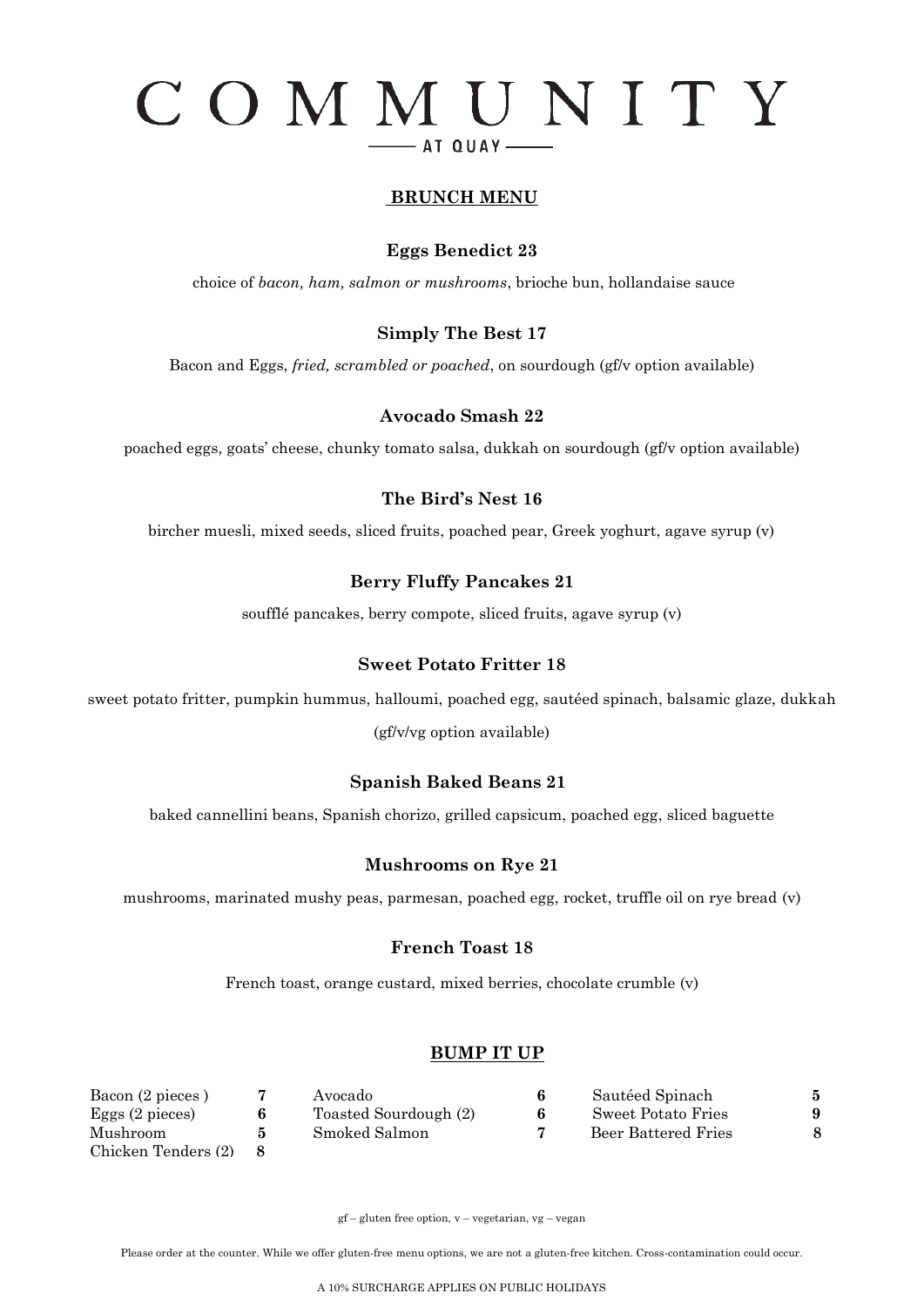# COMMUNITY - AT QUAY-

#### **BRUNCH MENU**

#### **Eggs Benedict 23**

choice of *bacon, ham, salmon or mushrooms*, brioche bun, hollandaise sauce

#### **Simply The Best 17**

Bacon and Eggs, *fried, scrambled or poached*, on sourdough (gf/v option available)

#### **Avocado Smash 22**

poached eggs, goats' cheese, chunky tomato salsa, dukkah on sourdough (gf/v option available)

#### **The Bird's Nest 16**

bircher muesli, mixed seeds, sliced fruits, poached pear, Greek yoghurt, agave syrup (v)

#### **Berry Fluffy Pancakes 21**

soufflé pancakes, berry compote, sliced fruits, agave syrup (v)

#### **Sweet Potato Fritter 18**

sweet potato fritter, pumpkin hummus, halloumi, poached egg, sautéed spinach, balsamic glaze, dukkah (gf/v/vg option available)

#### **Spanish Baked Beans 21**

baked cannellini beans, Spanish chorizo, grilled capsicum, poached egg, sliced baguette

#### **Mushrooms on Rye 21**

mushrooms, marinated mushy peas, parmesan, poached egg, rocket, truffle oil on rye bread (v)

#### **French Toast 18**

French toast, orange custard, mixed berries, chocolate crumble (v)

#### **BUMP IT UP**

| Bacon (2 pieces)          | Avocado               | 6 | Sautéed Spinach     | 5 |
|---------------------------|-----------------------|---|---------------------|---|
| Eggs $(2 \text{ pieces})$ | Toasted Sourdough (2) | 6 | Sweet Potato Fries  | 9 |
| Mushroom                  | Smoked Salmon         |   | Beer Battered Fries |   |
| Chicken Tenders (2)       |                       |   |                     |   |

gf – gluten free option, v – vegetarian, vg – vegan

Please order at the counter. While we offer gluten-free menu options, we are not a gluten-free kitchen. Cross-contamination could occur.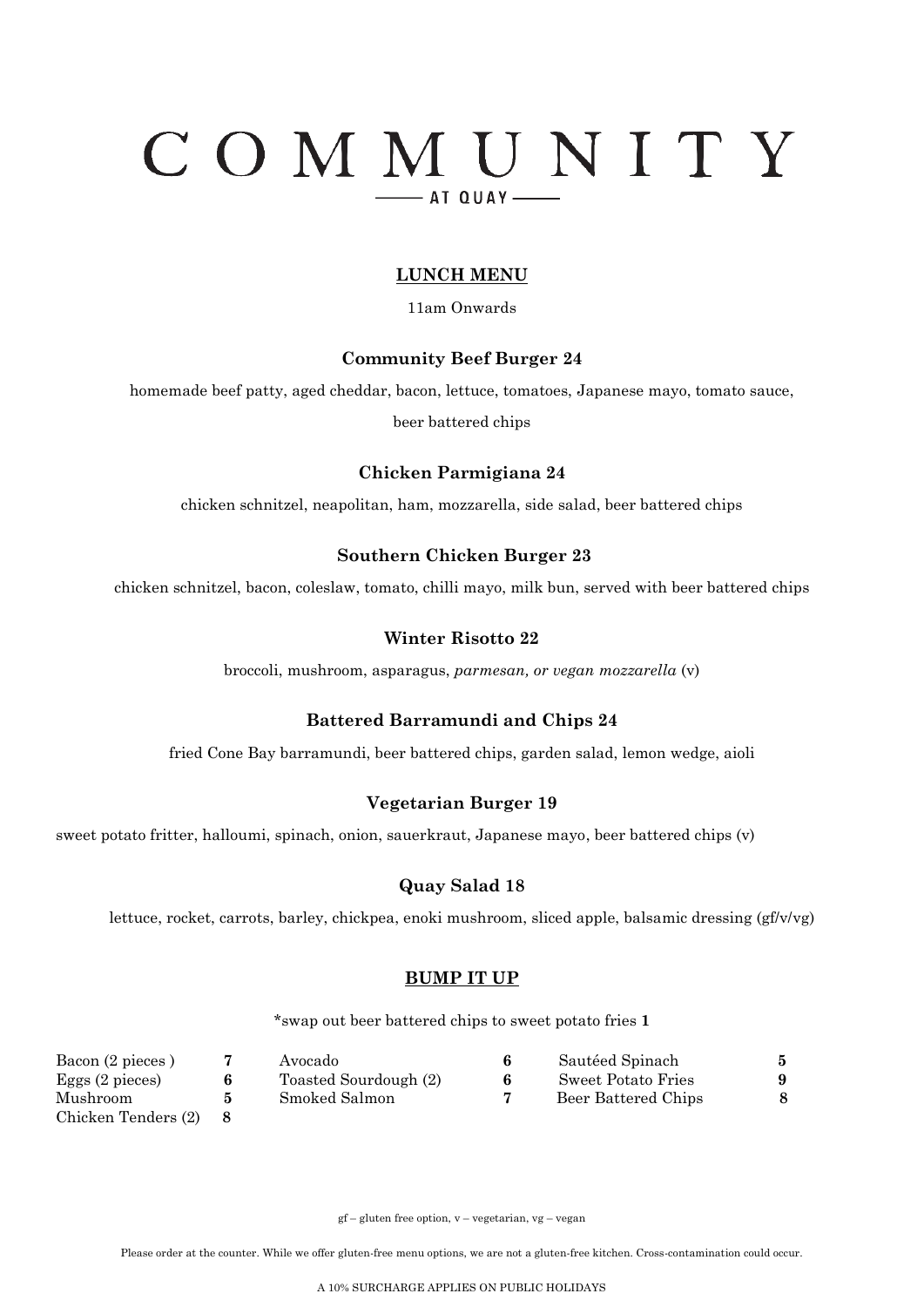# COMMUNITY  $-$  AT QUAY-

#### **LUNCH MENU**

11am Onwards

#### **Community Beef Burger 24**

homemade beef patty, aged cheddar, bacon, lettuce, tomatoes, Japanese mayo, tomato sauce,

beer battered chips

#### **Chicken Parmigiana 24**

chicken schnitzel, neapolitan, ham, mozzarella, side salad, beer battered chips

#### **Southern Chicken Burger 23**

chicken schnitzel, bacon, coleslaw, tomato, chilli mayo, milk bun, served with beer battered chips

#### **Winter Risotto 22**

broccoli, mushroom, asparagus, *parmesan, or vegan mozzarella* (v)

#### **Battered Barramundi and Chips 24**

fried Cone Bay barramundi, beer battered chips, garden salad, lemon wedge, aioli

#### **Vegetarian Burger 19**

sweet potato fritter, halloumi, spinach, onion, sauerkraut, Japanese mayo, beer battered chips (v)

#### **Quay Salad 18**

lettuce, rocket, carrots, barley, chickpea, enoki mushroom, sliced apple, balsamic dressing (gf/v/vg)

#### **BUMP IT UP**

\*swap out beer battered chips to sweet potato fries **1**

| Bacon (2 pieces)          | Avocado               |   | Sautéed Spinach     | 5 |
|---------------------------|-----------------------|---|---------------------|---|
| Eggs $(2 \text{ pieces})$ | Toasted Sourdough (2) | 6 | Sweet Potato Fries  | 9 |
| Mushroom                  | Smoked Salmon         |   | Beer Battered Chips |   |
| Chicken Tenders (2)       |                       |   |                     |   |

gf – gluten free option, v – vegetarian, vg – vegan